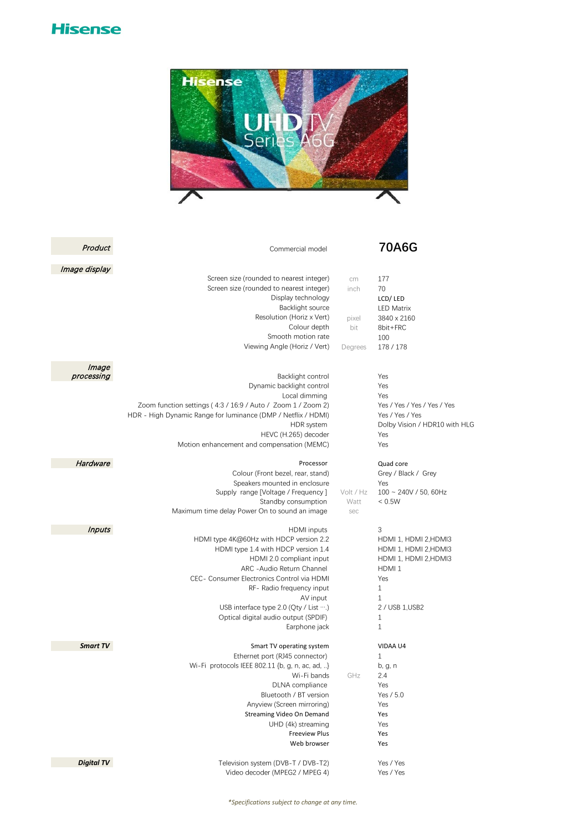## **Hisense**



| Product           | Commercial model                                                                                                                                                                                                                                                                                                                                       |                                       | <b>70A6G</b>                                                                                                                                    |
|-------------------|--------------------------------------------------------------------------------------------------------------------------------------------------------------------------------------------------------------------------------------------------------------------------------------------------------------------------------------------------------|---------------------------------------|-------------------------------------------------------------------------------------------------------------------------------------------------|
| Image display     |                                                                                                                                                                                                                                                                                                                                                        |                                       |                                                                                                                                                 |
|                   | Screen size (rounded to nearest integer)<br>Screen size (rounded to nearest integer)<br>Display technology<br>Backlight source<br>Resolution (Horiz x Vert)<br>Colour depth<br>Smooth motion rate<br>Viewing Angle (Horiz / Vert)                                                                                                                      | cm<br>inch<br>pixel<br>bit<br>Degrees | 177<br>70<br>LCD/LED<br><b>LED Matrix</b><br>3840 x 2160<br>8bit+FRC<br>100<br>178 / 178                                                        |
| Image             |                                                                                                                                                                                                                                                                                                                                                        |                                       |                                                                                                                                                 |
| processing        | Backlight control<br>Dynamic backlight control<br>Local dimming<br>Zoom function settings (4:3 / 16:9 / Auto / Zoom 1 / Zoom 2)<br>HDR - High Dynamic Range for luminance (DMP / Netflix / HDMI)<br>HDR system<br>HEVC (H.265) decoder<br>Motion enhancement and compensation (MEMC)                                                                   |                                       | Yes<br>Yes<br>Yes<br>Yes / Yes / Yes / Yes / Yes<br>Yes / Yes / Yes<br>Dolby Vision / HDR10 with HLG<br>Yes<br>Yes                              |
| Hardware          | Processor<br>Colour (Front bezel, rear, stand)<br>Speakers mounted in enclosure<br>Supply range [Voltage / Frequency]<br>Standby consumption<br>Maximum time delay Power On to sound an image                                                                                                                                                          | Volt / Hz<br>Watt<br>sec              | Quad core<br>Grey / Black / Grey<br>Yes<br>$100 \sim 240V / 50$ , 60Hz<br>< 0.5W                                                                |
| <b>Inputs</b>     | <b>HDMI</b> inputs<br>HDMI type 4K@60Hz with HDCP version 2.2<br>HDMI type 1.4 with HDCP version 1.4<br>HDMI 2.0 compliant input<br>ARC - Audio Return Channel<br>CEC- Consumer Electronics Control via HDMI<br>RF- Radio frequency input<br>AV input<br>USB interface type 2.0 (Qty / List )<br>Optical digital audio output (SPDIF)<br>Earphone jack |                                       | 3<br>HDMI 1, HDMI 2, HDMI3<br>HDMI 1, HDMI 2, HDMI3<br>HDMI 1, HDMI 2, HDMI3<br>HDMI <sub>1</sub><br>Yes<br>1<br>1<br>2 / USB 1, USB2<br>1<br>1 |
| Smart TV          | Smart TV operating system<br>Ethernet port (RJ45 connector)<br>Wi-Fi protocols IEEE 802.11 {b, g, n, ac, ad, }<br>Wi-Fi bands<br>DLNA compliance<br>Bluetooth / BT version<br>Anyview (Screen mirroring)<br>Streaming Video On Demand<br>UHD (4k) streaming<br><b>Freeview Plus</b><br>Web browser                                                     | GHz                                   | VIDAA U4<br>1<br>b, g, n<br>2.4<br>Yes<br>Yes / 5.0<br>Yes<br>Yes<br>Yes<br>Yes<br>Yes                                                          |
| <b>Digital TV</b> | Television system (DVB-T / DVB-T2)<br>Video decoder (MPEG2 / MPEG 4)                                                                                                                                                                                                                                                                                   |                                       | Yes / Yes<br>Yes / Yes                                                                                                                          |